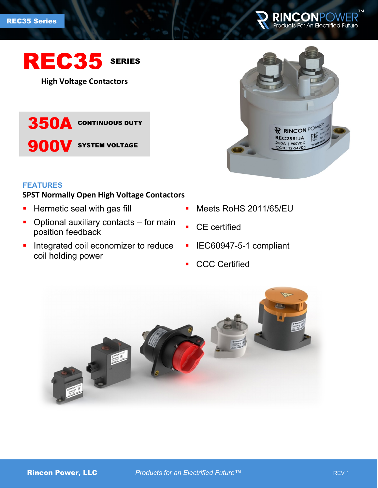

# REC35 SERIES

**High Voltage Contactors**

350A CONTINUOUS DUTY

**900V** SYSTEM VOLTAGE

# **FEATURES**

# **SPST Normally Open High Voltage Contactors**

- **Hermetic seal with gas fill**
- Optional auxiliary contacts for main position feedback
- **Integrated coil economizer to reduce** coil holding power
- R RINCON POWER REC25B1JA 250A | 900VDC 12-24VD
- **Meets RoHS 2011/65/EU**
- **CE** certified
- **IEC60947-5-1 compliant**
- **CCC Certified**

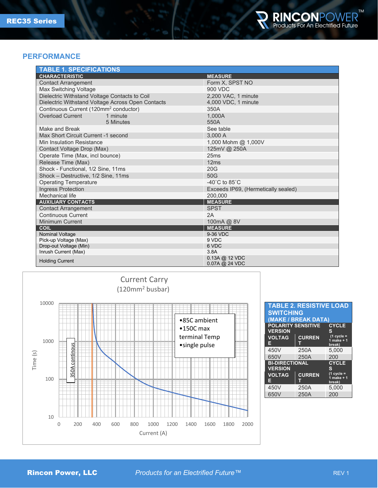

#### **PERFORMANCE**

| <b>TABLE 1. SPECIFICATIONS</b>                    |                                     |  |  |  |
|---------------------------------------------------|-------------------------------------|--|--|--|
| <b>CHARACTERISTIC</b>                             | <b>MEASURE</b>                      |  |  |  |
| <b>Contact Arrangement</b>                        | Form X, SPST NO                     |  |  |  |
| <b>Max Switching Voltage</b>                      | 900 VDC                             |  |  |  |
| Dielectric Withstand Voltage Contacts to Coil     | 2,200 VAC, 1 minute                 |  |  |  |
| Dielectric Withstand Voltage Across Open Contacts | 4,000 VDC, 1 minute                 |  |  |  |
| Continuous Current (120mm <sup>2</sup> conductor) | 350A                                |  |  |  |
| <b>Overload Current</b><br>1 minute               | 1.000A                              |  |  |  |
| 5 Minutes                                         | 550A                                |  |  |  |
| Make and Break                                    | See table                           |  |  |  |
| Max Short Circuit Current -1 second               | 3,000 A                             |  |  |  |
| Min Insulation Resistance                         | 1,000 Mohm @ 1,000V                 |  |  |  |
| Contact Voltage Drop (Max)                        | 125mV @ 250A                        |  |  |  |
| Operate Time (Max, incl bounce)                   | 25ms                                |  |  |  |
| Release Time (Max)                                | 12ms                                |  |  |  |
| Shock - Functional, 1/2 Sine, 11ms                | 20G                                 |  |  |  |
| Shock - Destructive, 1/2 Sine, 11ms               | 50G                                 |  |  |  |
| <b>Operating Temperature</b>                      | $-40^{\circ}$ C to 85 $^{\circ}$ C  |  |  |  |
| Ingress Protection                                | Exceeds IP69, (Hermetically sealed) |  |  |  |
| Mechanical life                                   | 200.000                             |  |  |  |
| <b>AUXILIARY CONTACTS</b>                         | <b>MEASURE</b>                      |  |  |  |
| <b>Contact Arrangement</b>                        | <b>SPST</b>                         |  |  |  |
| <b>Continuous Current</b>                         | 2A                                  |  |  |  |
| <b>Minimum Current</b><br>100mA @ 8V              |                                     |  |  |  |
| <b>COIL</b>                                       | <b>MEASURE</b>                      |  |  |  |
| <b>Nominal Voltage</b>                            | 9-36 VDC                            |  |  |  |
| Pick-up Voltage (Max)                             | 9 VDC                               |  |  |  |
| Drop-out Voltage (Min)                            | 6 VDC<br>3.8A                       |  |  |  |
| Inrush Current (Max)                              | $0.13A$ @ 12 VDC                    |  |  |  |
| <b>Holding Current</b>                            | $0.07A$ @ 24 VDC                    |  |  |  |



| <b>TABLE 2. RESISTIVE LOAD</b><br><b>SWITCHING</b><br>(MAKE / BREAK DATA) |               |                                       |  |  |  |
|---------------------------------------------------------------------------|---------------|---------------------------------------|--|--|--|
| <b>POLARITY SENSITIVE</b><br><b>CYCLE</b><br><b>VERSION</b>               |               |                                       |  |  |  |
| <b>VOLTAG</b><br>E                                                        | <b>CURREN</b> | $(1$ cycle =<br>1 make $+1$<br>break) |  |  |  |
| 450V                                                                      | 250A          | 5.000                                 |  |  |  |
| 650V                                                                      | 250A          | 200                                   |  |  |  |
| <b>BI-DIRECTIONAL</b><br><b>CYCLE</b><br><b>VERSION</b><br>s              |               |                                       |  |  |  |
| <b>VOLTAG</b><br>Е                                                        | <b>CURREN</b> | $(1$ cycle =<br>1 make $+1$<br>break) |  |  |  |
| 450V                                                                      | 250A          | 5.000                                 |  |  |  |
| 650V                                                                      | 250A          | 200                                   |  |  |  |